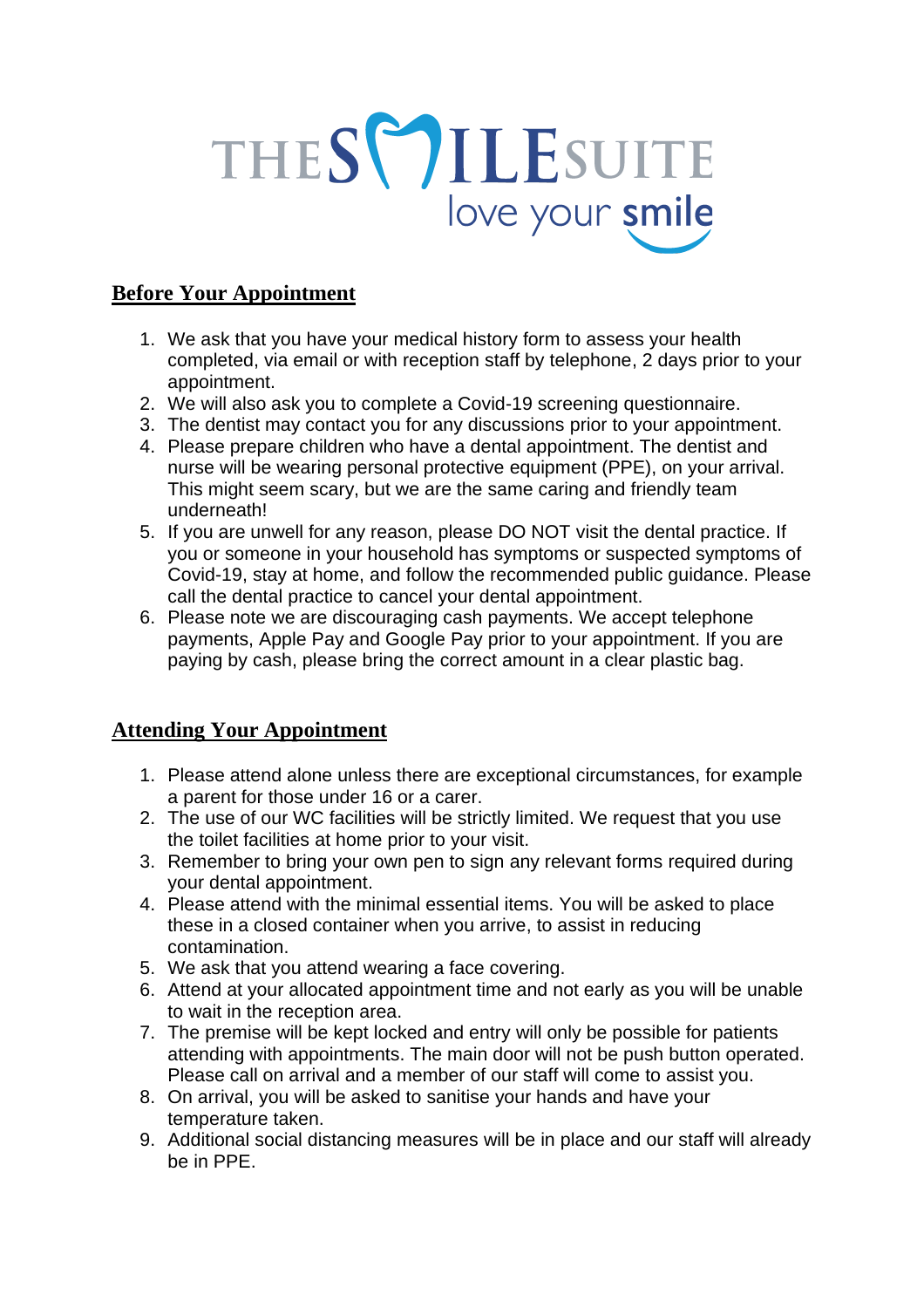

## **Before Your Appointment**

- 1. We ask that you have your medical history form to assess your health completed, via email or with reception staff by telephone, 2 days prior to your appointment.
- 2. We will also ask you to complete a Covid-19 screening questionnaire.
- 3. The dentist may contact you for any discussions prior to your appointment.
- 4. Please prepare children who have a dental appointment. The dentist and nurse will be wearing personal protective equipment (PPE), on your arrival. This might seem scary, but we are the same caring and friendly team underneath!
- 5. If you are unwell for any reason, please DO NOT visit the dental practice. If you or someone in your household has symptoms or suspected symptoms of Covid-19, stay at home, and follow the recommended public guidance. Please call the dental practice to cancel your dental appointment.
- 6. Please note we are discouraging cash payments. We accept telephone payments, Apple Pay and Google Pay prior to your appointment. If you are paying by cash, please bring the correct amount in a clear plastic bag.

## **Attending Your Appointment**

- 1. Please attend alone unless there are exceptional circumstances, for example a parent for those under 16 or a carer.
- 2. The use of our WC facilities will be strictly limited. We request that you use the toilet facilities at home prior to your visit.
- 3. Remember to bring your own pen to sign any relevant forms required during your dental appointment.
- 4. Please attend with the minimal essential items. You will be asked to place these in a closed container when you arrive, to assist in reducing contamination.
- 5. We ask that you attend wearing a face covering.
- 6. Attend at your allocated appointment time and not early as you will be unable to wait in the reception area.
- 7. The premise will be kept locked and entry will only be possible for patients attending with appointments. The main door will not be push button operated. Please call on arrival and a member of our staff will come to assist you.
- 8. On arrival, you will be asked to sanitise your hands and have your temperature taken.
- 9. Additional social distancing measures will be in place and our staff will already be in PPE.